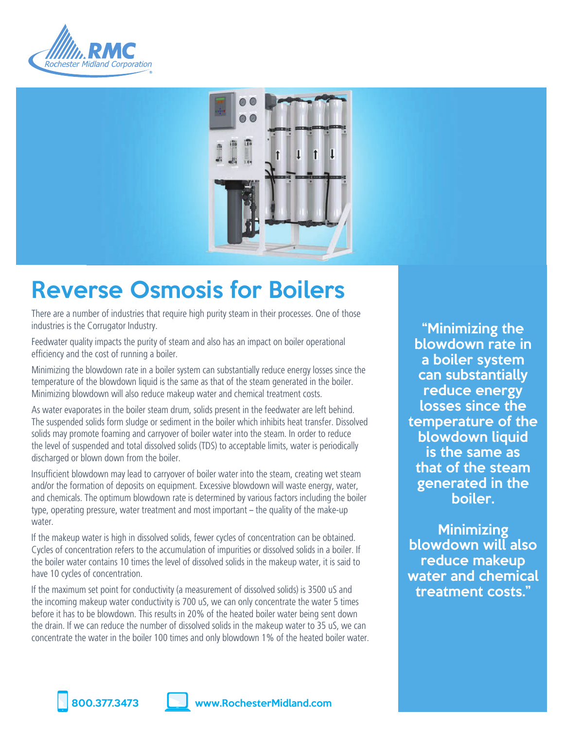



## Reverse Osmosis for Boilers

There are a number of industries that require high purity steam in their processes. One of those industries is the Corrugator Industry.

Feedwater quality impacts the purity of steam and also has an impact on boiler operational efficiency and the cost of running a boiler.

Minimizing the blowdown rate in a boiler system can substantially reduce energy losses since the temperature of the blowdown liquid is the same as that of the steam generated in the boiler. Minimizing blowdown will also reduce makeup water and chemical treatment costs.

As water evaporates in the boiler steam drum, solids present in the feedwater are left behind. The suspended solids form sludge or sediment in the boiler which inhibits heat transfer. Dissolved solids may promote foaming and carryover of boiler water into the steam. In order to reduce the level of suspended and total dissolved solids (TDS) to acceptable limits, water is periodically discharged or blown down from the boiler.

Insufficient blowdown may lead to carryover of boiler water into the steam, creating wet steam and/or the formation of deposits on equipment. Excessive blowdown will waste energy, water, and chemicals. The optimum blowdown rate is determined by various factors including the boiler type, operating pressure, water treatment and most important – the quality of the make-up water.

If the makeup water is high in dissolved solids, fewer cycles of concentration can be obtained. Cycles of concentration refers to the accumulation of impurities or dissolved solids in a boiler. If the boiler water contains 10 times the level of dissolved solids in the makeup water, it is said to have 10 cycles of concentration.

If the maximum set point for conductivity (a measurement of dissolved solids) is 3500 uS and the incoming makeup water conductivity is 700 uS, we can only concentrate the water 5 times before it has to be blowdown. This results in 20% of the heated boiler water being sent down the drain. If we can reduce the number of dissolved solids in the makeup water to 35 uS, we can concentrate the water in the boiler 100 times and only blowdown 1% of the heated boiler water.

"Minimizing the blowdown rate in a boiler system can substantially reduce energy losses since the temperature of the blowdown liquid is the same as that of the steam generated in the boiler.

**Minimizing** blowdown will also reduce makeup water and chemical treatment costs."